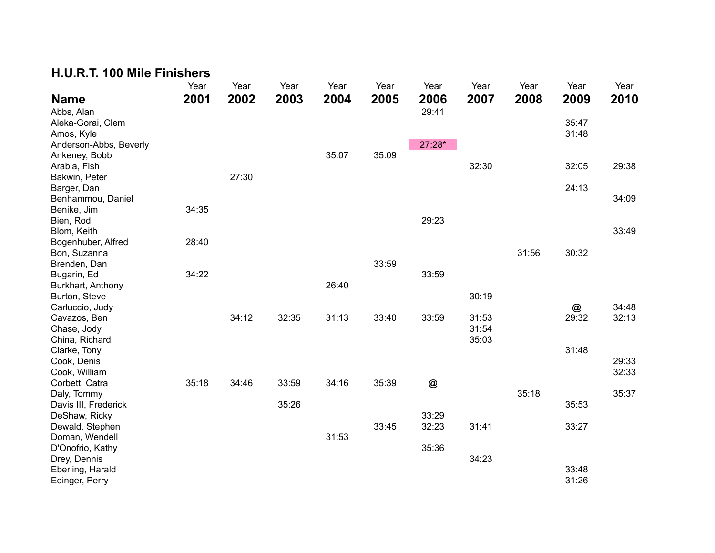## **H.U.R.T. 100 Mile Finishers**

|                        | Year  | Year  | Year  | Year  | Year  | Year         | Year  | Year  | Year  | Year  |
|------------------------|-------|-------|-------|-------|-------|--------------|-------|-------|-------|-------|
| <b>Name</b>            | 2001  | 2002  | 2003  | 2004  | 2005  | 2006         | 2007  | 2008  | 2009  | 2010  |
| Abbs, Alan             |       |       |       |       |       | 29:41        |       |       |       |       |
| Aleka-Gorai, Clem      |       |       |       |       |       |              |       |       | 35:47 |       |
| Amos, Kyle             |       |       |       |       |       |              |       |       | 31:48 |       |
| Anderson-Abbs, Beverly |       |       |       |       |       | 27:28*       |       |       |       |       |
| Ankeney, Bobb          |       |       |       | 35:07 | 35:09 |              |       |       |       |       |
| Arabia, Fish           |       |       |       |       |       |              | 32:30 |       | 32:05 | 29:38 |
| Bakwin, Peter          |       | 27:30 |       |       |       |              |       |       |       |       |
| Barger, Dan            |       |       |       |       |       |              |       |       | 24:13 |       |
| Benhammou, Daniel      |       |       |       |       |       |              |       |       |       | 34:09 |
| Benike, Jim            | 34:35 |       |       |       |       |              |       |       |       |       |
| Bien, Rod              |       |       |       |       |       | 29:23        |       |       |       |       |
| Blom, Keith            |       |       |       |       |       |              |       |       |       | 33:49 |
| Bogenhuber, Alfred     | 28:40 |       |       |       |       |              |       |       |       |       |
| Bon, Suzanna           |       |       |       |       |       |              |       | 31:56 | 30:32 |       |
| Brenden, Dan           |       |       |       |       | 33:59 |              |       |       |       |       |
| Bugarin, Ed            | 34:22 |       |       |       |       | 33:59        |       |       |       |       |
| Burkhart, Anthony      |       |       |       | 26:40 |       |              |       |       |       |       |
| Burton, Steve          |       |       |       |       |       |              | 30:19 |       |       |       |
| Carluccio, Judy        |       |       |       |       |       |              |       |       | @     | 34:48 |
| Cavazos, Ben           |       | 34:12 | 32:35 | 31:13 | 33:40 | 33:59        | 31:53 |       | 29:32 | 32:13 |
| Chase, Jody            |       |       |       |       |       |              | 31:54 |       |       |       |
| China, Richard         |       |       |       |       |       |              | 35:03 |       |       |       |
| Clarke, Tony           |       |       |       |       |       |              |       |       | 31:48 |       |
| Cook, Denis            |       |       |       |       |       |              |       |       |       | 29:33 |
| Cook, William          |       |       |       |       |       |              |       |       |       | 32:33 |
| Corbett, Catra         | 35:18 | 34:46 | 33:59 | 34:16 | 35:39 | $^\circledR$ |       |       |       |       |
| Daly, Tommy            |       |       |       |       |       |              |       | 35:18 |       | 35:37 |
| Davis III, Frederick   |       |       | 35:26 |       |       |              |       |       | 35:53 |       |
| DeShaw, Ricky          |       |       |       |       |       | 33:29        |       |       |       |       |
| Dewald, Stephen        |       |       |       |       | 33:45 | 32:23        | 31:41 |       | 33:27 |       |
| Doman, Wendell         |       |       |       | 31:53 |       |              |       |       |       |       |
| D'Onofrio, Kathy       |       |       |       |       |       | 35:36        |       |       |       |       |
| Drey, Dennis           |       |       |       |       |       |              | 34:23 |       |       |       |
| Eberling, Harald       |       |       |       |       |       |              |       |       | 33:48 |       |
| Edinger, Perry         |       |       |       |       |       |              |       |       | 31:26 |       |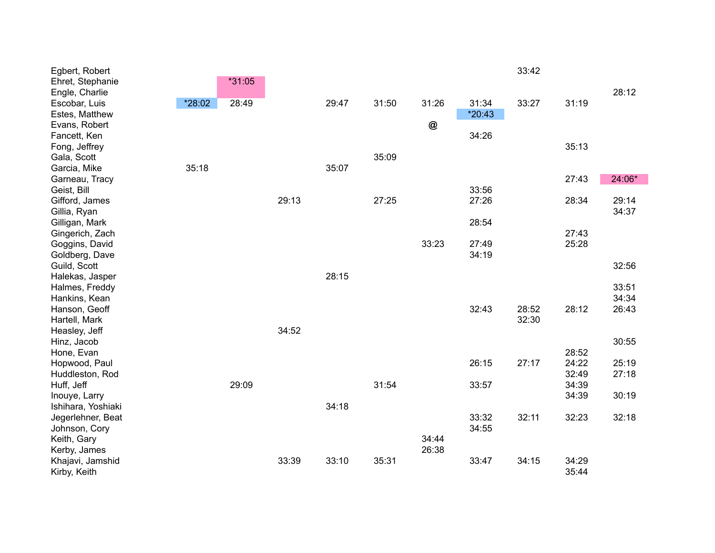| Egbert, Robert                 |        |        |       |       |       |       |          | 33:42 |       |        |
|--------------------------------|--------|--------|-------|-------|-------|-------|----------|-------|-------|--------|
| Ehret, Stephanie               |        | *31:05 |       |       |       |       |          |       |       |        |
| Engle, Charlie                 |        |        |       |       |       |       |          |       |       | 28:12  |
| Escobar, Luis                  | *28:02 | 28:49  |       | 29:47 | 31:50 | 31:26 | 31:34    | 33:27 | 31:19 |        |
| Estes, Matthew                 |        |        |       |       |       |       | $*20:43$ |       |       |        |
| Evans, Robert                  |        |        |       |       |       | @     |          |       |       |        |
| Fancett, Ken                   |        |        |       |       |       |       | 34:26    |       |       |        |
| Fong, Jeffrey                  |        |        |       |       |       |       |          |       | 35:13 |        |
| Gala, Scott                    | 35:18  |        |       | 35:07 | 35:09 |       |          |       |       |        |
| Garcia, Mike<br>Garneau, Tracy |        |        |       |       |       |       |          |       | 27:43 | 24:06* |
| Geist, Bill                    |        |        |       |       |       |       | 33:56    |       |       |        |
| Gifford, James                 |        |        | 29:13 |       | 27:25 |       | 27:26    |       | 28:34 | 29:14  |
| Gillia, Ryan                   |        |        |       |       |       |       |          |       |       | 34:37  |
| Gilligan, Mark                 |        |        |       |       |       |       | 28:54    |       |       |        |
| Gingerich, Zach                |        |        |       |       |       |       |          |       | 27:43 |        |
| Goggins, David                 |        |        |       |       |       | 33:23 | 27:49    |       | 25:28 |        |
| Goldberg, Dave                 |        |        |       |       |       |       | 34:19    |       |       |        |
| Guild, Scott                   |        |        |       |       |       |       |          |       |       | 32:56  |
| Halekas, Jasper                |        |        |       | 28:15 |       |       |          |       |       |        |
| Halmes, Freddy                 |        |        |       |       |       |       |          |       |       | 33:51  |
| Hankins, Kean                  |        |        |       |       |       |       |          |       |       | 34:34  |
| Hanson, Geoff                  |        |        |       |       |       |       | 32:43    | 28:52 | 28:12 | 26:43  |
| Hartell, Mark                  |        |        |       |       |       |       |          | 32:30 |       |        |
| Heasley, Jeff                  |        |        | 34:52 |       |       |       |          |       |       |        |
| Hinz, Jacob                    |        |        |       |       |       |       |          |       |       | 30:55  |
| Hone, Evan                     |        |        |       |       |       |       |          |       | 28:52 |        |
| Hopwood, Paul                  |        |        |       |       |       |       | 26:15    | 27:17 | 24:22 | 25:19  |
| Huddleston, Rod                |        |        |       |       |       |       |          |       | 32:49 | 27:18  |
| Huff, Jeff                     |        | 29:09  |       |       | 31:54 |       | 33:57    |       | 34:39 |        |
| Inouye, Larry                  |        |        |       |       |       |       |          |       | 34:39 | 30:19  |
| Ishihara, Yoshiaki             |        |        |       | 34:18 |       |       |          |       |       |        |
| Jegerlehner, Beat              |        |        |       |       |       |       | 33:32    | 32:11 | 32:23 | 32:18  |
| Johnson, Cory                  |        |        |       |       |       |       | 34:55    |       |       |        |
| Keith, Gary                    |        |        |       |       |       | 34:44 |          |       |       |        |
| Kerby, James                   |        |        |       |       |       | 26:38 |          |       |       |        |
| Khajavi, Jamshid               |        |        | 33:39 | 33:10 | 35:31 |       | 33:47    | 34:15 | 34:29 |        |
| Kirby, Keith                   |        |        |       |       |       |       |          |       | 35:44 |        |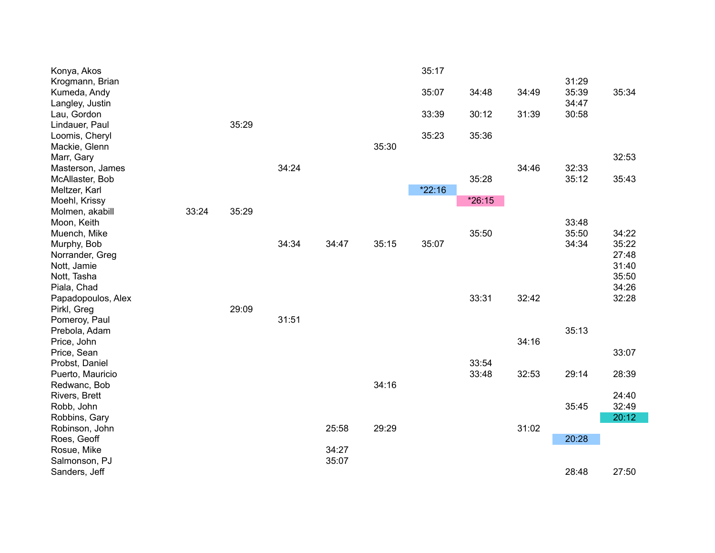| Konya, Akos        |       |       |       |       |       | 35:17  |        |       |       |       |
|--------------------|-------|-------|-------|-------|-------|--------|--------|-------|-------|-------|
| Krogmann, Brian    |       |       |       |       |       |        |        |       | 31:29 |       |
| Kumeda, Andy       |       |       |       |       |       | 35:07  | 34:48  | 34:49 | 35:39 | 35:34 |
| Langley, Justin    |       |       |       |       |       |        |        |       | 34:47 |       |
| Lau, Gordon        |       |       |       |       |       | 33:39  | 30:12  | 31:39 | 30:58 |       |
| Lindauer, Paul     |       | 35:29 |       |       |       |        |        |       |       |       |
| Loomis, Cheryl     |       |       |       |       |       | 35:23  | 35:36  |       |       |       |
| Mackie, Glenn      |       |       |       |       | 35:30 |        |        |       |       |       |
| Marr, Gary         |       |       |       |       |       |        |        |       |       | 32:53 |
| Masterson, James   |       |       | 34:24 |       |       |        |        | 34:46 | 32:33 |       |
| McAllaster, Bob    |       |       |       |       |       |        | 35:28  |       | 35:12 | 35:43 |
| Meltzer, Karl      |       |       |       |       |       | *22:16 |        |       |       |       |
| Moehl, Krissy      |       |       |       |       |       |        | *26:15 |       |       |       |
| Molmen, akabill    | 33:24 | 35:29 |       |       |       |        |        |       |       |       |
| Moon, Keith        |       |       |       |       |       |        |        |       | 33:48 |       |
| Muench, Mike       |       |       |       |       |       |        | 35:50  |       | 35:50 | 34:22 |
| Murphy, Bob        |       |       | 34:34 | 34:47 | 35:15 | 35:07  |        |       | 34:34 | 35:22 |
| Norrander, Greg    |       |       |       |       |       |        |        |       |       | 27:48 |
| Nott, Jamie        |       |       |       |       |       |        |        |       |       | 31:40 |
| Nott, Tasha        |       |       |       |       |       |        |        |       |       | 35:50 |
| Piala, Chad        |       |       |       |       |       |        |        |       |       | 34:26 |
| Papadopoulos, Alex |       |       |       |       |       |        | 33:31  | 32:42 |       | 32:28 |
| Pirkl, Greg        |       | 29:09 |       |       |       |        |        |       |       |       |
| Pomeroy, Paul      |       |       | 31:51 |       |       |        |        |       |       |       |
| Prebola, Adam      |       |       |       |       |       |        |        |       | 35:13 |       |
| Price, John        |       |       |       |       |       |        |        | 34:16 |       |       |
| Price, Sean        |       |       |       |       |       |        |        |       |       | 33:07 |
| Probst, Daniel     |       |       |       |       |       |        | 33:54  |       |       |       |
| Puerto, Mauricio   |       |       |       |       |       |        | 33:48  | 32:53 | 29:14 | 28:39 |
| Redwanc, Bob       |       |       |       |       | 34:16 |        |        |       |       |       |
| Rivers, Brett      |       |       |       |       |       |        |        |       |       | 24:40 |
| Robb, John         |       |       |       |       |       |        |        |       | 35:45 | 32:49 |
| Robbins, Gary      |       |       |       |       |       |        |        |       |       | 20:12 |
| Robinson, John     |       |       |       | 25:58 | 29:29 |        |        | 31:02 |       |       |
| Roes, Geoff        |       |       |       |       |       |        |        |       | 20:28 |       |
| Rosue, Mike        |       |       |       | 34:27 |       |        |        |       |       |       |
| Salmonson, PJ      |       |       |       | 35:07 |       |        |        |       |       |       |
| Sanders, Jeff      |       |       |       |       |       |        |        |       | 28:48 | 27:50 |
|                    |       |       |       |       |       |        |        |       |       |       |